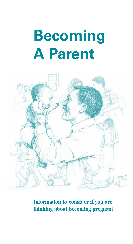# **Becoming A Parent**



**Information to consider if you are thinking about becoming pregnant**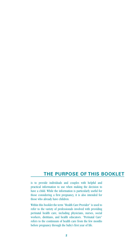# **THE PURPOSE OF THIS BOOKLET**

is to provide individuals and couples with helpful and practical information to use when making the decision to have a child. While the information is particularly useful for those considering a first pregnancy, it is also intended for those who already have children.

Within this booklet the term "Health Care Provider" is used to refer to the variety of professionals involved with providing perinatal health care, including physicians, nurses, social workers, dietitians, and health educators. "Perinatal Care" refers to the continuum of health care from the few months before pregnancy through the baby's first year of life.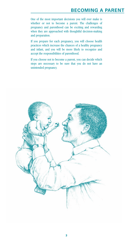## **BECOMING A PARENT**

One of the most important decisions you will ever make is whether or not to become a parent. The challenges of pregnancy and parenthood can be exciting and rewarding when they are approached with thoughtful decision-making and preparation.

If you prepare for each pregnancy, you will choose health practices which increase the chances of a healthy pregnancy and infant, and you will be more likely to recognize and accept the responsibilities of parenthood.

If you choose not to become a parent, you can decide which steps are necessary to be sure that you do not have an unintended pregnancy.

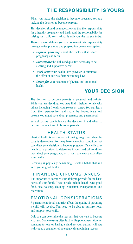When you make the decision to become pregnant, you are making the decision to become parents.

This decision should be made knowing that the responsibility for a healthy pregnancy and birth, and the responsibility for raising your child rests primarily with you, the parents to be.

There are several things you can do to meet this responsibility through active planning and preparation before conception.

- *Inform yourself* about the factors that affect pregnancy and birth.
- *Investigate* the skills and qualities necessary to be a caring and supportive parent.
- *Work with* your health care provider to minimize the effect of any risk factors you may have.
- *Strive for* your best state of physical and emotional health.

# **YOUR DECISION**

The decision to become parents is personal and private. While you are deciding, you may find it helpful to talk with others including friends, counselors or clergy. You can learn from their perspectives and share the hopes, fears and dreams you might have about pregnancy and parenthood.

Several factors can influence the decision if and when to become pregnant and to become parents:

#### HEALTH STATUS

Physical health is very important during pregnancy when the baby is developing. You may have a medical condition that can affect your decision to become pregnant. Talk with your health care provider to determine if your medical condition may affect your pregnancy, or if your pregnancy may affect your health.

Parenting is physically demanding. Develop habits that will keep you in good health.

#### FINANCIAL CIRCUMSTANCES

It is important to consider your ability to provide for the basic needs of your family. These needs include health care, good food, safe housing, clothing, education, transportation and recreation.

#### EMOTIONAL CONSIDERATIONS

A parent's emotional maturity affects the quality of parenting a child will receive. You need to be able to nurture, love, and support your child.

Only you can determine the reasons that you want to become a parent. Some reasons often lead to disappointment. Wanting someone to love or having a child so your partner will stay with you are examples of potentially disappointing reasons.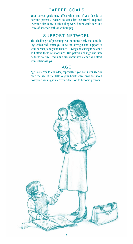#### CAREER GOALS

Your career goals may affect when and if you decide to become parents. Factors to consider are travel, required overtime, flexibility of scheduling work hours, child care and leave of absence with or without pay.

#### SUPPORT NETWORK

The challenges of parenting can be more easily met and the joys enhanced, when you have the strength and support of your partner, family and friends. Having and caring for a child will affect these relationships. Old patterns change and new patterns emerge. Think and talk about how a child will affect your relationships.

#### AGE

Age is a factor to consider, especially if you are a teenager or over the age of 35. Talk to your health care provider about how your age might affect your decision to become pregnant.

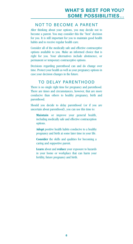## NOT TO BECOME A PARENT

After thinking about your options, you may decide not to become a parent. You may consider this the "best" decision for you. It is still important for you to maintain good health habits and to receive regular health care.

Consider all of the medically safe and effective contraceptive options available to you. Make an informed choice that is right for you. Your alternatives include abstinence, or permanent or temporary contraceptive options.

Decisions regarding parenthood can and do change over time. Protect your health as well as your pregnancy options in case your decision changes in the future.

## TO DELAY PARENTHOOD

There is no single right time for pregnancy and parenthood. There are times and circumstances, however, that are more conducive than others to healthy pregnancy, birth and parenthood.

Should you decide to delay parenthood (or if you are uncertain about parenthood), you can use this time to:

**Maintain** or improve your general health, including medically safe and effective contraception options.

**Adopt** positive health habits conducive to a healthy pregnancy and birth at some later time in your life.

**Consider** the skills and qualities for becoming a caring and supportive parent.

**Learn** about and **reduce** your exposure to hazards in your home or workplace that can harm your fertility, future pregnancy and birth.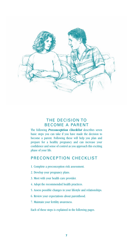

## THE DECISION TO BECOME A PARENT

The following *Preconception Checklist* describes seven basic steps you can take if you have made the decision to become a parent. Following these will help you plan and prepare for a healthy pregnancy and can increase your confidence and sense of control as you approach this exciting phase of your life.

#### PRECONCEPTION CHECKLIST

- 1. Complete a preconception risk assessment.
- 2. Develop your pregnancy plans.
- 3. Meet with your health care provider.
- 4. Adopt the recommended health practices.
- 5. Assess possible changes in your lifestyle and relationships.
- 6. Review your expectations about parenthood.
- 7. Maintain your fertility awareness.

Each of these steps is explained in the following pages.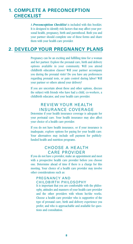# **1. COMPLETE A PRECONCEPTION CHECKLIST**

A *Preconception Checklist* is included with this booklet. It is designed to identify risk factors that may affect your personal health, pregnancy, birth and parenthood. Both you and your partner should complete one of these forms and share them with your health care provider.

## **2. DEVELOP YOUR PREGNANCY PLANS**

Pregnancy can be an exciting and fulfilling time for a woman and her partner. Explore the prenatal care, birth and delivery options available in your community. Will you attend childbirth education classes? Will your partner accompany you during the prenatal visits? Do you have any preferences regarding prenatal tests, or pain control during labor? Will your partner or others attend your delivery?

If you are uncertain about these and other options, discuss the subject with friends who have had a child, co-workers, a childbirth educator, and your health care provider.

#### REVIEW YOUR HEALTH INSURANCE COVERAGE

Determine if your health insurance coverage is adequate for your perinatal care. Your health insurance may also affect your choice of a health care provider.

If you do not have health insurance, or if your insurance is inadequate, explore options for paying for your health care. Your alternatives may include self payment for publiclyfunded health and nutrition programs.

#### CHOOSE A HEALTH CARE PROVIDER

If you do not have a provider, make an appointment and meet with a prospective health care provider before you choose one. Determine ahead of time if there is a charge for this meeting. Your choice of a health care provider may involve other considerations such as:

## PREGNANCY AND

#### CHILDBIRTH PHILOSOPHY

It is important that you are comfortable with the philosophy, attitudes and manners of your health care provider and the other providers with whom he/she works. Choose a health care provider who is supportive of the type of prenatal care, birth and delivery experience you prefer, and who is approachable and available for questions and consultation.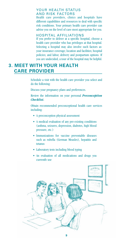#### YOUR HEALTH STATUS AND RISK FACTORS

Health care providers, clinics and hospitals have different capabilities and resources to deal with specific risk conditions. Your primary health care provider can advise you on the level of care most appropriate for you.

#### HOSPITAL AFFILIATIONS

If you prefer to deliver at a specific hospital, choose a health care provider who has privileges at that hospital. Selecting a hospital may also involve such factors as: your insurance coverage; location and facilities; hospital policies; and labor, delivery and postpartum options. If you are undecided, a tour of the hospital may be helpful.

# **3. MEET WITH YOUR HEALTH CARE PROVIDER**

Schedule a visit with the health care provider you select and do the following:

Discuss your pregnancy plans and preferences.

Review the information on your personal *Preconception Checklist.*

Obtain recommended preconceptional health care services including:

- A preconception physical assessment
- A medical evaluation of any pre-existing conditions (asthma, seizures, depression, diabetes, high blood pressure, etc.)
- Immunizations for vaccine preventable diseases such as rubella (German Measles), hepatitis and tetanus
- Laboratory tests including blood typing
- An evaluation of all medications and drugs you currently use

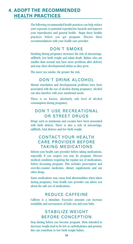# **4. ADOPT THE RECOMMENDED HEALTH PRACTICES**

The following recommended health practices can help reduce your exposure to potential reproductive hazards and improve your reproductive and general health. Begin these healthy practices before you get pregnant. Discuss these recommendations with your health care provider.

## DON'T SMOKE

Smoking during pregnancy increases the risk of miscarriage, stillbirth, low birth weight and infant death. Babies who are smaller than normal may have more problems after delivery and may show developmental delays as they grow.

The more you smoke, the greater the risk.

#### DON'T DRINK ALCOHOL

Mental retardation and developmental problems have been associated with the use of alcohol during pregnancy. Alcohol can also interfere with your nutritional needs.

There is no known, absolutely safe level of alcohol consumption during pregnancy.

## DON'T USE RECREATIONAL OR STREET DRUGS

Drugs such as marijuana and cocaine have been associated with birth defects. There is also a risk of miscarriage, stillbirth, fetal distress and low birth weight.

#### CONTACT YOUR HEALTH CARE PROVIDER BEFORE TAKING MEDICATIONS

Inform your health care provider before taking medications, especially if you suspect you may be pregnant. Discuss medical conditions requiring the regular use of medications, before becoming pregnant. This includes prescription and over-the-counter medicines, dietary supplements and any other drugs.

Some medications may cause fetal abnormalities when taken during pregnancy. Your health care provider can advise you about the safe use of medications.

#### REDUCE CAFFEINE

Caffeine is a stimulant. Excessive amounts can increase irritability and nervousness of both you and your baby.

## STABILIZE WEIGHT BEFORE CONCEPTION

Stop dieting before you become pregnant. Diets intended to decrease weight tend to be low in carbohydrates and protein; this can contribute to low birth weight babies.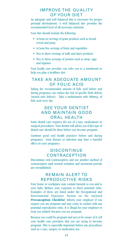#### IMPROVE THE QUALITY OF YOUR DIET

An adequate and well balanced diet is necessary for proper prenatal development. A well balanced diet provides the recommended level of all necessary nutrients.

Your diet should include the following:

- At least six servings of grain products such as bread, cereal and pasta
- At least five servings of fruits and vegetables
- Two to three servings of milk and dairy products
- Two to three servings of protein such as meat, eggs and legumes

Your health care provider can refer you to a nutritionist to help you plan a healthier diet.

#### TAKE AN ADEQUATE AMOUNT OF FOLIC ACID

Taking the recommended amount of folic acid before and during pregnancy can reduce the risk of specific birth defects (neural tube defects). Take a multivitamin with 400mcg. of folic acid every day.

## SEE YOUR DENTIST AND MAINTAIN GOOD ORAL HEALTH

Some dental care requires the use of x-rays, medications or surgical procedures. Your dentist will advise you if this type of dental care should be done before you become pregnant.

Continue good oral health practices before and during pregnancy. Gum disease or infection may have a harmful effect on your pregnancy.

#### **DISCONTINUE** CONTRACEPTION

Discontinue oral contraceptives and use another method of contraception until normal ovulation and menstrual periods are reestablished.

#### REMAIN ALERT TO REPRODUCTIVE RISKS

Your home or workplace may contain hazards to you and to your baby. Reduce your exposure to these potential risks. Examples of these are listed under the Occupational and Environmental Exposures Section on the enclosed **Preconception Checklist.** Inform your employer if you suspect you are pregnant and may come in contact with any potential reproductive risks. It is illegal for your employer to treat you unfairly because you are pregnant.

Because you could be pregnant and not yet be aware of it, tell your health care providers that you are trying to become pregnant. This is especially important before any procedures such as x-rays, surgery or medication use.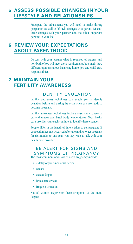# **5. ASSESS POSSIBLE CHANGES IN YOUR LIFESTYLE AND RELATIONSHIPS**

Anticipate the adjustments you will need to make during pregnancy, as well as lifestyle changes as a parent. Discuss these changes with your partner and the other important persons in your life.

# **6. REVIEW YOUR EXPECTATIONS ABOUT PARENTHOOD**

Discuss with your partner what is required of parents and how both of you will meet these requirements. You might have different opinions about balancing home, job and child care responsibilities.

# **7. MAINTAIN YOUR FERTILITY AWARENESS**

#### IDENTIFY OVULATION

Fertility awareness techniques can enable you to identify ovulation before and during the cycle when you are ready to become pregnant.

Fertility awareness techniques include observing changes in cervical mucus and basal body temperatures. Your health care provider can teach you how to identify these changes.

People differ in the length of time it takes to get pregnant. If conception has not occurred after attempting to get pregnant for six months to one year, you may want to talk with your health care provider.

#### BE ALERT FOR SIGNS AND SYMPTOMS OF PREGNANCY

The most common indicators of early pregnancy include:

- a delay of your menstrual period
- nausea
- excess fatigue
- breast tenderness
- frequent urination.

Not all women experience these symptoms to the same degree.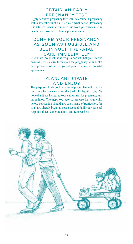#### OBTAIN AN EARLY PREGNANCY TEST

Highly sensitive pregnancy tests can determine a pregnancy within several days of a missed menstrual period. Pregnancy test kits are available for purchase from pharmacies, your health care provider, or family planning clinic.

## CONFIRM YOUR PREGNANCY AS SOON AS POSSIBLE AND BEGIN YOUR PRENATAL CARE IMMEDIATELY

If you are pregnant, it is very important that you receive ongoing prenatal care throughout the pregnancy. Your health care provider will advise you of your schedule of prenatal appointments.

## PLAN, ANTICIPATE AND ENJOY

The purpose of this booklet is to help you plan and prepare for a healthy pregnancy and the birth of a healthy baby. We hope that it has increased your enthusiasm for pregnancy and parenthood. The steps you take to prepare for your child before conception should give you a sense of satisfaction, for you have already begun to recognize and fulfill your parental responsibilities. Congratulations and Best Wishes!

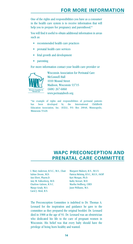One of the rights and responsibilities you have as a consumer in the health care system is to receive information that will help you to prepare for pregnancy and parenthood.\*

You will find it useful to obtain additional information in areas such as:

- recommended health care practices
- prenatal health care services
- fetal growth and development
- parenting

For more information contact your health care provider or

![](_page_13_Picture_8.jpeg)

Wisconsin Association for Perinatal Care McConnell Hall 1010 Mound Street Madison, Wisconsin 53715 (608) 267-6060 www.perinatalweb.org

\*An example of rights and responsibilities of perinatal patients has been developed by the International Childbirth Education Association, Inc. (ICEA), P.O. Box 20048, Minneapolis, Minnesota 55420.

# **WAPC PRECONCEPTION AND PRENATAL CARE COMMITTEE**

I. Mary Anderson, R.N.C., M.S., Chair Margaret Malnory, R.N., M.S.N. Sabine Droste, M.D. Ann Ebert, Pharm.D. Amy M. Falkenberg, M.D. Charlene Galston, R.N.C. Margo Grady, M.S. Carol J. Heid, R.N.

Patricia Mehring, R.N.C., M.S.N., OGNP Kari Morgan, Ph.D. Kathy Stewart, M.D. Martha Stollberg, CHES Janet Williams, M.S.

The Preconception Committee is indebted to Dr. Thomas A. Leonard for the inspiration and guidance he gave to the committee as they prepared the original booklet. Dr. Leonard died in 1988 at the age of 91. Dr. Leonard was an obstetrician who dedicated his life to the care of pregnant women in Wisconsin. His belief was that every baby should have the privilege of being born healthy and wanted.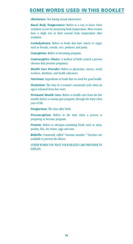# **SOME WORDS USED IN THIS BOOKLET**

Abstinence: Not having sexual intercourse.

*Basal Body Temperature:* Refers to a way to know when ovulation occurs by measuring body temperature. Most women have a slight rise in their normal body temperature after ovulation.

*Carbohydrates:* Refers to foods that have starch or sugar, such as breads, cereals, rice, potatoes, and pasta.

*Conception:* Refers to becoming pregnant.

*Contraceptive Choice:* A method of birth control a person chooses that prevents pregnancy.

*Health Care Provider:* Refers to physicians, nurses, social workers, dietitians, and health educators.

*Nutrients:* Ingredients in foods that we need for good health.

*Ovulation:* The time in a woman's menstrual cycle when an egg is released from her ovary

*Perinatal Health Care:* Refers to health care from the few months before a woman gets pregnant, through the baby's first year of life.

*Postpartum:* The time after birth.

*Preconception:* Refers to the time when a person is preparing to become pregnant.

**Protein:** Refers to nitrogen-containing foods such as meat, poultry, fish, dry beans, eggs and nuts.

*Rubella:* Commonly called "German measles." Vaccines are available to prevent the illness.

OTHER WORDS YOU WANT YOUR HEALTH CARE PROVIDER TO EXPLAIN: